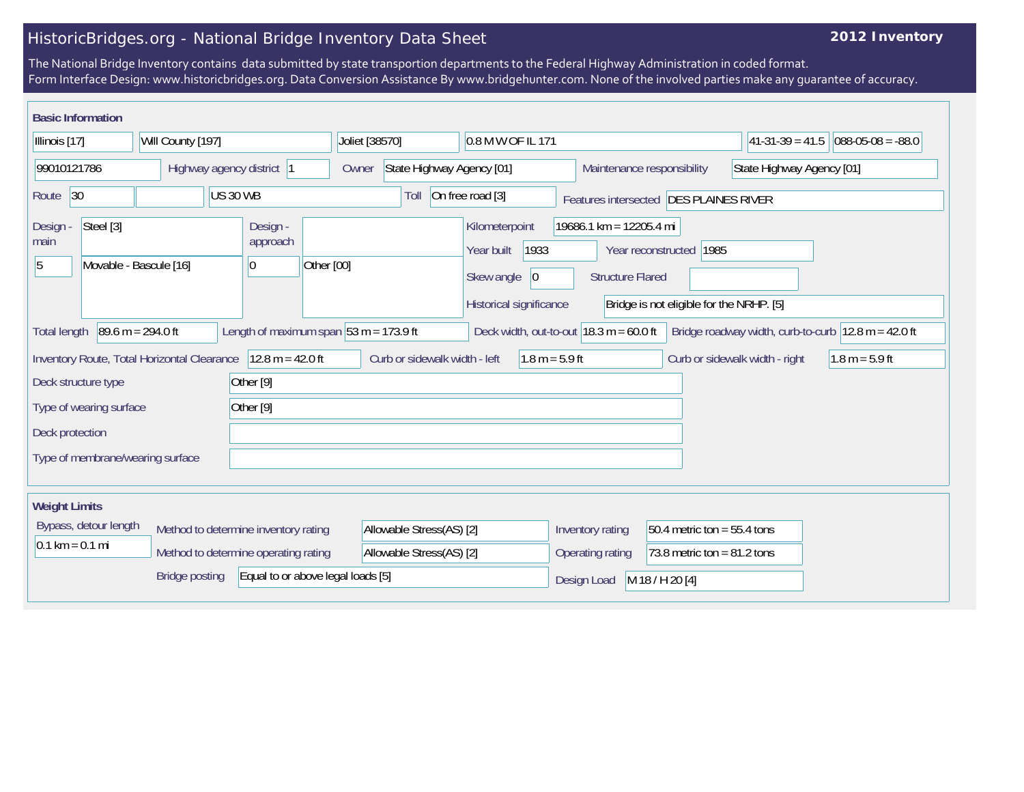## HistoricBridges.org - National Bridge Inventory Data Sheet

## **2012 Inventory**

The National Bridge Inventory contains data submitted by state transportion departments to the Federal Highway Administration in coded format. Form Interface Design: www.historicbridges.org. Data Conversion Assistance By www.bridgehunter.com. None of the involved parties make any guarantee of accuracy.

| <b>Basic Information</b>                                                                                                                                                                                                     |  |                          |                                                                                                    |                                                            |                                                                                                                             |                   |                                |                  |
|------------------------------------------------------------------------------------------------------------------------------------------------------------------------------------------------------------------------------|--|--------------------------|----------------------------------------------------------------------------------------------------|------------------------------------------------------------|-----------------------------------------------------------------------------------------------------------------------------|-------------------|--------------------------------|------------------|
| Illinois [17]<br>Will County [197]                                                                                                                                                                                           |  | Joliet [38570]           | 0.8 M W OF IL 171                                                                                  |                                                            |                                                                                                                             | $ 41-31-39=41.5 $ | $088-05-08 = -88.0$            |                  |
| 99010121786<br>Highway agency district 1                                                                                                                                                                                     |  |                          | State Highway Agency [01]<br>Owner                                                                 |                                                            | Maintenance responsibility                                                                                                  |                   | State Highway Agency [01]      |                  |
| <b>US 30 WB</b><br>Route 30                                                                                                                                                                                                  |  |                          | Toll                                                                                               | On free road [3]<br>Features intersected DES PLAINES RIVER |                                                                                                                             |                   |                                |                  |
| Steel [3]<br>Design -<br>main<br>Movable - Bascule [16]<br>10<br>5                                                                                                                                                           |  | Design -<br>approach     | Kilometerpoint<br>1933<br>Year built<br>Other [00]<br>Skew angle<br> 0 <br>Historical significance |                                                            | 19686.1 km = 12205.4 mi<br>Year reconstructed   1985<br><b>Structure Flared</b><br>Bridge is not eligible for the NRHP. [5] |                   |                                |                  |
| $89.6 m = 294.0 ft$<br>Length of maximum span $ 53 \text{ m} = 173.9 \text{ ft} $<br>Deck width, out-to-out $18.3 \text{ m} = 60.0 \text{ ft}$<br>Bridge roadway width, curb-to-curb 12.8 m = 42.0 ft<br><b>Total length</b> |  |                          |                                                                                                    |                                                            |                                                                                                                             |                   |                                |                  |
| Inventory Route, Total Horizontal Clearance                                                                                                                                                                                  |  | $12.8 m = 42.0 ft$       | Curb or sidewalk width - left                                                                      | $1.8 m = 5.9 ft$                                           |                                                                                                                             |                   | Curb or sidewalk width - right | $1.8 m = 5.9 ft$ |
| Deck structure type                                                                                                                                                                                                          |  | Other <sup>[9]</sup>     |                                                                                                    |                                                            |                                                                                                                             |                   |                                |                  |
| Other <sup>[9]</sup><br>Type of wearing surface                                                                                                                                                                              |  |                          |                                                                                                    |                                                            |                                                                                                                             |                   |                                |                  |
| Deck protection                                                                                                                                                                                                              |  |                          |                                                                                                    |                                                            |                                                                                                                             |                   |                                |                  |
| Type of membrane/wearing surface                                                                                                                                                                                             |  |                          |                                                                                                    |                                                            |                                                                                                                             |                   |                                |                  |
| <b>Weight Limits</b>                                                                                                                                                                                                         |  |                          |                                                                                                    |                                                            |                                                                                                                             |                   |                                |                  |
| Bypass, detour length<br>Method to determine inventory rating                                                                                                                                                                |  | Allowable Stress(AS) [2] |                                                                                                    | Inventory rating<br>50.4 metric ton = $55.4$ tons          |                                                                                                                             |                   |                                |                  |
| $0.1 \text{ km} = 0.1 \text{ mi}$<br>Method to determine operating rating                                                                                                                                                    |  | Allowable Stress(AS) [2] |                                                                                                    | 73.8 metric ton = $81.2$ tons<br>Operating rating          |                                                                                                                             |                   |                                |                  |
| Equal to or above legal loads [5]<br><b>Bridge posting</b>                                                                                                                                                                   |  |                          |                                                                                                    | Design Load                                                | M 18 / H 20 [4]                                                                                                             |                   |                                |                  |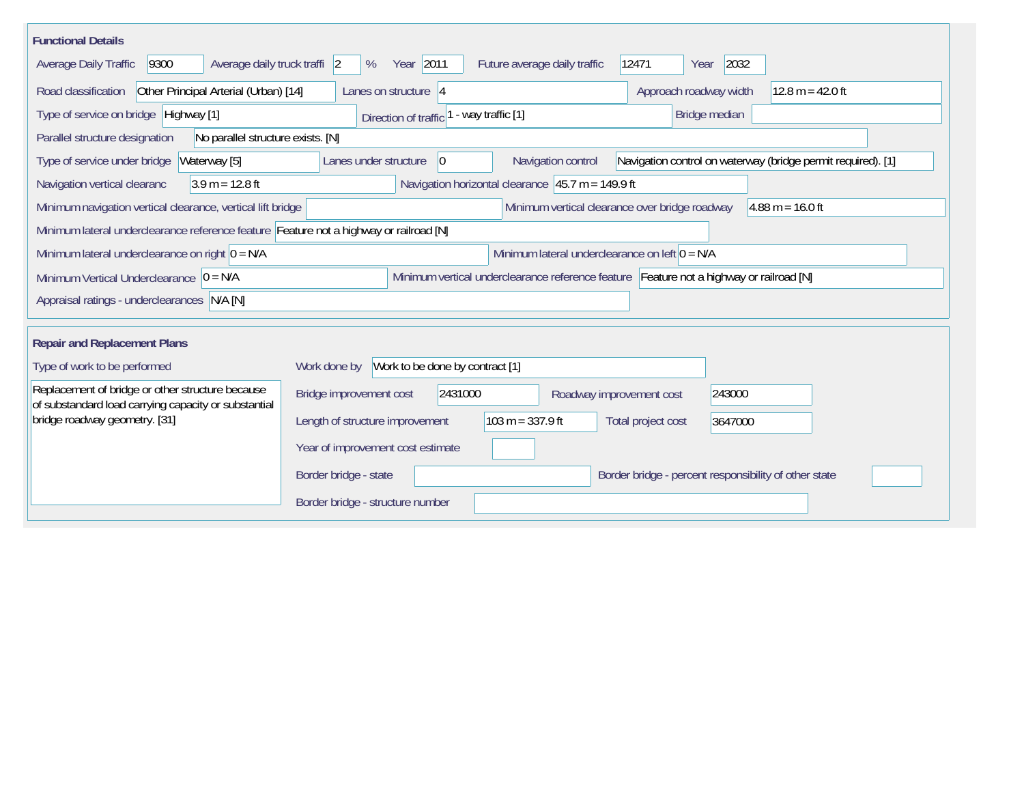| <b>Functional Details</b>                                                                                |                                                                                                                               |  |  |  |  |  |  |
|----------------------------------------------------------------------------------------------------------|-------------------------------------------------------------------------------------------------------------------------------|--|--|--|--|--|--|
| Average daily truck traffi 2<br>Average Daily Traffic<br>9300                                            | Year 2011<br>2032<br>12471<br>%<br>Future average daily traffic<br>Year                                                       |  |  |  |  |  |  |
| Road classification<br>Other Principal Arterial (Urban) [14]                                             | Approach roadway width<br>$12.8 m = 42.0 ft$<br>Lanes on structure $ 4 $                                                      |  |  |  |  |  |  |
| Type of service on bridge Highway [1]                                                                    | - way traffic [1]<br>Bridge median<br>Direction of traffic <sup>1</sup>                                                       |  |  |  |  |  |  |
| Parallel structure designation<br>No parallel structure exists. [N]                                      |                                                                                                                               |  |  |  |  |  |  |
| Type of service under bridge<br>Waterway [5]                                                             | Navigation control on waterway (bridge permit required). [1]<br>Lanes under structure<br>Navigation control<br>$\overline{0}$ |  |  |  |  |  |  |
| Navigation vertical clearanc<br>$3.9 m = 12.8 ft$                                                        | Navigation horizontal clearance $ 45.7 \text{ m} = 149.9 \text{ ft} $                                                         |  |  |  |  |  |  |
| Minimum navigation vertical clearance, vertical lift bridge                                              | Minimum vertical clearance over bridge roadway<br>$4.88 \text{ m} = 16.0 \text{ ft}$                                          |  |  |  |  |  |  |
| Minimum lateral underclearance reference feature Feature not a highway or railroad [N]                   |                                                                                                                               |  |  |  |  |  |  |
| Minimum lateral underclearance on right $0 = N/A$<br>Minimum lateral underclearance on left $0 = N/A$    |                                                                                                                               |  |  |  |  |  |  |
| Minimum Vertical Underclearance $ 0 = N/A$                                                               | Minimum vertical underclearance reference feature Feature not a highway or railroad [N]                                       |  |  |  |  |  |  |
| Appraisal ratings - underclearances N/A [N]                                                              |                                                                                                                               |  |  |  |  |  |  |
|                                                                                                          |                                                                                                                               |  |  |  |  |  |  |
| <b>Repair and Replacement Plans</b>                                                                      |                                                                                                                               |  |  |  |  |  |  |
| Type of work to be performed                                                                             | Work to be done by contract [1]<br>Work done by                                                                               |  |  |  |  |  |  |
| Replacement of bridge or other structure because<br>of substandard load carrying capacity or substantial | Bridge improvement cost<br>2431000<br>243000<br>Roadway improvement cost                                                      |  |  |  |  |  |  |
| bridge roadway geometry. [31]                                                                            | $103 m = 337.9 ft$<br>Length of structure improvement<br>Total project cost<br>3647000                                        |  |  |  |  |  |  |
|                                                                                                          | Year of improvement cost estimate                                                                                             |  |  |  |  |  |  |
|                                                                                                          | Border bridge - percent responsibility of other state<br>Border bridge - state                                                |  |  |  |  |  |  |
|                                                                                                          | Border bridge - structure number                                                                                              |  |  |  |  |  |  |